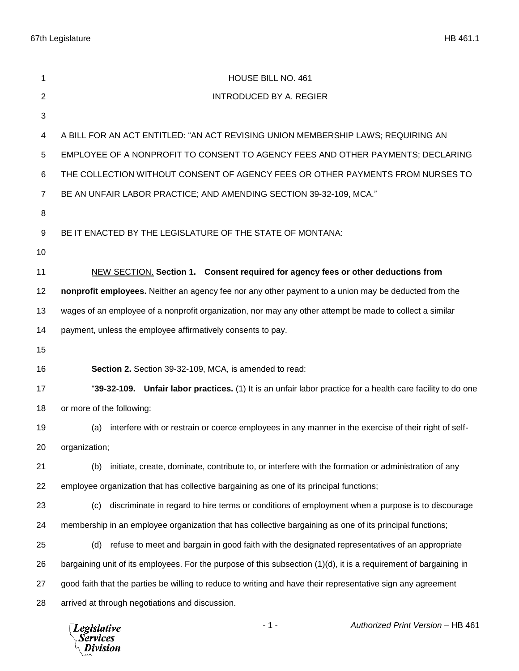67th Legislature HB 461.1

| <b>INTRODUCED BY A. REGIER</b><br>$\overline{c}$<br>3<br>A BILL FOR AN ACT ENTITLED: "AN ACT REVISING UNION MEMBERSHIP LAWS; REQUIRING AN<br>4<br>EMPLOYEE OF A NONPROFIT TO CONSENT TO AGENCY FEES AND OTHER PAYMENTS; DECLARING<br>5<br>THE COLLECTION WITHOUT CONSENT OF AGENCY FEES OR OTHER PAYMENTS FROM NURSES TO<br>6<br>BE AN UNFAIR LABOR PRACTICE; AND AMENDING SECTION 39-32-109, MCA."<br>$\overline{7}$<br>8<br>BE IT ENACTED BY THE LEGISLATURE OF THE STATE OF MONTANA:<br>9<br>10<br>NEW SECTION. Section 1. Consent required for agency fees or other deductions from<br>11<br>12<br>nonprofit employees. Neither an agency fee nor any other payment to a union may be deducted from the<br>wages of an employee of a nonprofit organization, nor may any other attempt be made to collect a similar<br>13<br>payment, unless the employee affirmatively consents to pay.<br>14<br>15<br>Section 2. Section 39-32-109, MCA, is amended to read:<br>16<br>17<br>or more of the following:<br>18<br>19<br>interfere with or restrain or coerce employees in any manner in the exercise of their right of self-<br>(a)<br>20<br>organization;<br>21<br>initiate, create, dominate, contribute to, or interfere with the formation or administration of any<br>(b)<br>employee organization that has collective bargaining as one of its principal functions;<br>22<br>23<br>discriminate in regard to hire terms or conditions of employment when a purpose is to discourage<br>(c)<br>24<br>membership in an employee organization that has collective bargaining as one of its principal functions;<br>refuse to meet and bargain in good faith with the designated representatives of an appropriate<br>25<br>(d)<br>bargaining unit of its employees. For the purpose of this subsection (1)(d), it is a requirement of bargaining in<br>26<br>27<br>good faith that the parties be willing to reduce to writing and have their representative sign any agreement | 1 | HOUSE BILL NO. 461                                                                                          |
|---------------------------------------------------------------------------------------------------------------------------------------------------------------------------------------------------------------------------------------------------------------------------------------------------------------------------------------------------------------------------------------------------------------------------------------------------------------------------------------------------------------------------------------------------------------------------------------------------------------------------------------------------------------------------------------------------------------------------------------------------------------------------------------------------------------------------------------------------------------------------------------------------------------------------------------------------------------------------------------------------------------------------------------------------------------------------------------------------------------------------------------------------------------------------------------------------------------------------------------------------------------------------------------------------------------------------------------------------------------------------------------------------------------------------------------------------------------------------------------------------------------------------------------------------------------------------------------------------------------------------------------------------------------------------------------------------------------------------------------------------------------------------------------------------------------------------------------------------------------------------------------------------------------------------------------------------------------------------------------|---|-------------------------------------------------------------------------------------------------------------|
|                                                                                                                                                                                                                                                                                                                                                                                                                                                                                                                                                                                                                                                                                                                                                                                                                                                                                                                                                                                                                                                                                                                                                                                                                                                                                                                                                                                                                                                                                                                                                                                                                                                                                                                                                                                                                                                                                                                                                                                       |   |                                                                                                             |
|                                                                                                                                                                                                                                                                                                                                                                                                                                                                                                                                                                                                                                                                                                                                                                                                                                                                                                                                                                                                                                                                                                                                                                                                                                                                                                                                                                                                                                                                                                                                                                                                                                                                                                                                                                                                                                                                                                                                                                                       |   |                                                                                                             |
|                                                                                                                                                                                                                                                                                                                                                                                                                                                                                                                                                                                                                                                                                                                                                                                                                                                                                                                                                                                                                                                                                                                                                                                                                                                                                                                                                                                                                                                                                                                                                                                                                                                                                                                                                                                                                                                                                                                                                                                       |   |                                                                                                             |
|                                                                                                                                                                                                                                                                                                                                                                                                                                                                                                                                                                                                                                                                                                                                                                                                                                                                                                                                                                                                                                                                                                                                                                                                                                                                                                                                                                                                                                                                                                                                                                                                                                                                                                                                                                                                                                                                                                                                                                                       |   |                                                                                                             |
|                                                                                                                                                                                                                                                                                                                                                                                                                                                                                                                                                                                                                                                                                                                                                                                                                                                                                                                                                                                                                                                                                                                                                                                                                                                                                                                                                                                                                                                                                                                                                                                                                                                                                                                                                                                                                                                                                                                                                                                       |   |                                                                                                             |
|                                                                                                                                                                                                                                                                                                                                                                                                                                                                                                                                                                                                                                                                                                                                                                                                                                                                                                                                                                                                                                                                                                                                                                                                                                                                                                                                                                                                                                                                                                                                                                                                                                                                                                                                                                                                                                                                                                                                                                                       |   |                                                                                                             |
|                                                                                                                                                                                                                                                                                                                                                                                                                                                                                                                                                                                                                                                                                                                                                                                                                                                                                                                                                                                                                                                                                                                                                                                                                                                                                                                                                                                                                                                                                                                                                                                                                                                                                                                                                                                                                                                                                                                                                                                       |   |                                                                                                             |
|                                                                                                                                                                                                                                                                                                                                                                                                                                                                                                                                                                                                                                                                                                                                                                                                                                                                                                                                                                                                                                                                                                                                                                                                                                                                                                                                                                                                                                                                                                                                                                                                                                                                                                                                                                                                                                                                                                                                                                                       |   |                                                                                                             |
|                                                                                                                                                                                                                                                                                                                                                                                                                                                                                                                                                                                                                                                                                                                                                                                                                                                                                                                                                                                                                                                                                                                                                                                                                                                                                                                                                                                                                                                                                                                                                                                                                                                                                                                                                                                                                                                                                                                                                                                       |   |                                                                                                             |
|                                                                                                                                                                                                                                                                                                                                                                                                                                                                                                                                                                                                                                                                                                                                                                                                                                                                                                                                                                                                                                                                                                                                                                                                                                                                                                                                                                                                                                                                                                                                                                                                                                                                                                                                                                                                                                                                                                                                                                                       |   |                                                                                                             |
|                                                                                                                                                                                                                                                                                                                                                                                                                                                                                                                                                                                                                                                                                                                                                                                                                                                                                                                                                                                                                                                                                                                                                                                                                                                                                                                                                                                                                                                                                                                                                                                                                                                                                                                                                                                                                                                                                                                                                                                       |   |                                                                                                             |
|                                                                                                                                                                                                                                                                                                                                                                                                                                                                                                                                                                                                                                                                                                                                                                                                                                                                                                                                                                                                                                                                                                                                                                                                                                                                                                                                                                                                                                                                                                                                                                                                                                                                                                                                                                                                                                                                                                                                                                                       |   |                                                                                                             |
|                                                                                                                                                                                                                                                                                                                                                                                                                                                                                                                                                                                                                                                                                                                                                                                                                                                                                                                                                                                                                                                                                                                                                                                                                                                                                                                                                                                                                                                                                                                                                                                                                                                                                                                                                                                                                                                                                                                                                                                       |   |                                                                                                             |
|                                                                                                                                                                                                                                                                                                                                                                                                                                                                                                                                                                                                                                                                                                                                                                                                                                                                                                                                                                                                                                                                                                                                                                                                                                                                                                                                                                                                                                                                                                                                                                                                                                                                                                                                                                                                                                                                                                                                                                                       |   |                                                                                                             |
|                                                                                                                                                                                                                                                                                                                                                                                                                                                                                                                                                                                                                                                                                                                                                                                                                                                                                                                                                                                                                                                                                                                                                                                                                                                                                                                                                                                                                                                                                                                                                                                                                                                                                                                                                                                                                                                                                                                                                                                       |   |                                                                                                             |
|                                                                                                                                                                                                                                                                                                                                                                                                                                                                                                                                                                                                                                                                                                                                                                                                                                                                                                                                                                                                                                                                                                                                                                                                                                                                                                                                                                                                                                                                                                                                                                                                                                                                                                                                                                                                                                                                                                                                                                                       |   | "39-32-109. Unfair labor practices. (1) It is an unfair labor practice for a health care facility to do one |
|                                                                                                                                                                                                                                                                                                                                                                                                                                                                                                                                                                                                                                                                                                                                                                                                                                                                                                                                                                                                                                                                                                                                                                                                                                                                                                                                                                                                                                                                                                                                                                                                                                                                                                                                                                                                                                                                                                                                                                                       |   |                                                                                                             |
|                                                                                                                                                                                                                                                                                                                                                                                                                                                                                                                                                                                                                                                                                                                                                                                                                                                                                                                                                                                                                                                                                                                                                                                                                                                                                                                                                                                                                                                                                                                                                                                                                                                                                                                                                                                                                                                                                                                                                                                       |   |                                                                                                             |
|                                                                                                                                                                                                                                                                                                                                                                                                                                                                                                                                                                                                                                                                                                                                                                                                                                                                                                                                                                                                                                                                                                                                                                                                                                                                                                                                                                                                                                                                                                                                                                                                                                                                                                                                                                                                                                                                                                                                                                                       |   |                                                                                                             |
|                                                                                                                                                                                                                                                                                                                                                                                                                                                                                                                                                                                                                                                                                                                                                                                                                                                                                                                                                                                                                                                                                                                                                                                                                                                                                                                                                                                                                                                                                                                                                                                                                                                                                                                                                                                                                                                                                                                                                                                       |   |                                                                                                             |
|                                                                                                                                                                                                                                                                                                                                                                                                                                                                                                                                                                                                                                                                                                                                                                                                                                                                                                                                                                                                                                                                                                                                                                                                                                                                                                                                                                                                                                                                                                                                                                                                                                                                                                                                                                                                                                                                                                                                                                                       |   |                                                                                                             |
|                                                                                                                                                                                                                                                                                                                                                                                                                                                                                                                                                                                                                                                                                                                                                                                                                                                                                                                                                                                                                                                                                                                                                                                                                                                                                                                                                                                                                                                                                                                                                                                                                                                                                                                                                                                                                                                                                                                                                                                       |   |                                                                                                             |
|                                                                                                                                                                                                                                                                                                                                                                                                                                                                                                                                                                                                                                                                                                                                                                                                                                                                                                                                                                                                                                                                                                                                                                                                                                                                                                                                                                                                                                                                                                                                                                                                                                                                                                                                                                                                                                                                                                                                                                                       |   |                                                                                                             |
|                                                                                                                                                                                                                                                                                                                                                                                                                                                                                                                                                                                                                                                                                                                                                                                                                                                                                                                                                                                                                                                                                                                                                                                                                                                                                                                                                                                                                                                                                                                                                                                                                                                                                                                                                                                                                                                                                                                                                                                       |   |                                                                                                             |
|                                                                                                                                                                                                                                                                                                                                                                                                                                                                                                                                                                                                                                                                                                                                                                                                                                                                                                                                                                                                                                                                                                                                                                                                                                                                                                                                                                                                                                                                                                                                                                                                                                                                                                                                                                                                                                                                                                                                                                                       |   |                                                                                                             |
|                                                                                                                                                                                                                                                                                                                                                                                                                                                                                                                                                                                                                                                                                                                                                                                                                                                                                                                                                                                                                                                                                                                                                                                                                                                                                                                                                                                                                                                                                                                                                                                                                                                                                                                                                                                                                                                                                                                                                                                       |   |                                                                                                             |
| arrived at through negotiations and discussion.<br>28                                                                                                                                                                                                                                                                                                                                                                                                                                                                                                                                                                                                                                                                                                                                                                                                                                                                                                                                                                                                                                                                                                                                                                                                                                                                                                                                                                                                                                                                                                                                                                                                                                                                                                                                                                                                                                                                                                                                 |   |                                                                                                             |